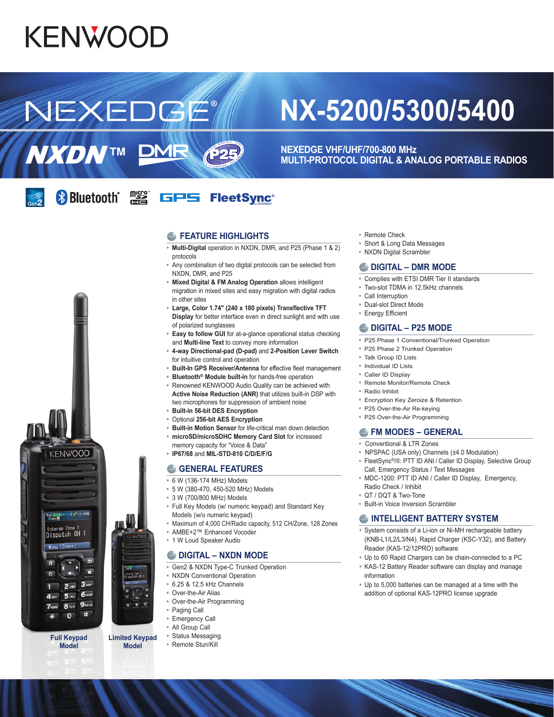# **KENWOOD**

**NXDNTM** 

NEXEDGE

## **NX-5200/5300/5400**

**NEXEDGE VHF/UHF/700-800 MHz MULTI-PROTOCOL DIGITAL & ANALOG PORTABLE RADIOS**

#### **Bluetooth Fig.** GPS FleetSync<sup>®</sup>

**DMR** 

#### **EXAMPLE HIGHLIGHTS**

化马

- **• Multi-Digital** operation in NXDN, DMR, and P25 (Phase 1 & 2) protocols
- **•** Any combination of two digital protocols can be selected from NXDN, DMR, and P25
- **• Mixed Digital & FM Analog Operation** allows intelligent migration in mixed sites and easy migration with digital radios in other sites
- **• Large, Color 1.74" (240 x 180 pixels) Transflective TFT Display** for better interface even in direct sunlight and with use of polarized sunglasses
- **• Easy to follow GUI** for at-a-glance operational status checking and **Multi-line Text** to convey more information
- **• 4-way Directional-pad (D-pad)** and **2-Position Lever Switch** for intuitive control and operation
- **• Built-In GPS Receiver/Antenna** for effective fleet management
- **• Bluetooth® Module built-in** for hands-free operation
- **•** Renowned KENWOOD Audio Quality can be achieved with **Active Noise Reduction (ANR)** that utilizes built-in DSP with two microphones for suppression of ambient noise
- **• Built-in 56-bit DES Encryption**
- **•** Optional **256-bit AES Encryption**
- **• Built-in Motion Sensor** for life-critical man down detection
- **• microSD/microSDHC Memory Card Slot** for increased
- memory capacity for "Voice & Data" **• IP67/68** and **MIL-STD-810 C/D/E/F/G**

#### **GENERAL FEATURES**

- **•** 6 W (136-174 MHz) Models
- **•** 5 W (380-470, 450-520 MHz) Models
- **•** 3 W (700/800 MHz) Models
- 
- **•** Full Key Models (w/ numeric keypad) and Standard Key Models (w/o numeric keypad)
- **•** Maximum of 4,000 CH/Radio capacity, 512 CH/Zone, 128 Zones
- **•** AMBE+2™ Enhanced Vocoder
- **•** 1 W Loud Speaker Audio

#### **DIGITAL – NXDN MODE**

- **•** Gen2 & NXDN Type-C Trunked Operation
- **•** NXDN Conventional Operation
- **•** 6.25 & 12.5 kHz Channels
- **•** Over-the-Air Alias
- **•** Over-the-Air Programming
- **•** Paging Call
- **•** Emergency Call
- **•** All Group Call
- **•** Status Messaging
- **•** Remote Stun/Kill
- **•** Remote Check
- **•** Short & Long Data Messages
- **•** NXDN Digital Scrambler

#### **DIGITAL – DMR MODE**

- **•** Complies with ETSI DMR Tier II standards
- **•** Two-slot TDMA in 12.5kHz channels
- **•** Call Interruption
- **•** Dual-slot Direct Mode
- **•** Energy Efficient

#### **DIGITAL – P25 MODE**

- **•** P25 Phase 1 Conventional/Trunked Operation
- **•** P25 Phase 2 Trunked Operation
- **•** Talk Group ID Lists
- **•** Individual ID Lists
- **•** Caller ID Display
- **•** Remote Monitor/Remote Check
- **•** Radio Inhibit
- **•** Encryption Key Zeroize & Retention
- **•** P25 Over-the-Air Re-keying
- **•** P25 Over-the-Air Programming

#### **FM MODES – GENERAL**

- **•** Conventional & LTR Zones
- **•** NPSPAC (USA only) Channels (±4.0 Modulation)
- **•** FleetSync®/II: PTT ID ANI / Caller ID Display, Selective Group Call, Emergency Status / Text Messages
- **•** MDC-1200: PTT ID ANI / Caller ID Display, Emergency, Radio Check / Inhibit
- **•** QT / DQT & Two-Tone
- **•** Built-in Voice Inversion Scrambler

#### **INTELLIGENT BATTERY SYSTEM**

- **•** System consists of a Li-ion or Ni-MH rechargeable battery (KNB-L1/L2/L3/N4), Rapid Charger (KSC-Y32), and Battery Reader (KAS-12/12PRO) software
- **•** Up to 60 Rapid Chargers can be chain-connected to a PC
- **•** KAS-12 Battery Reader software can display and manage information
- **•** Up to 5,000 batteries can be managed at a time with the addition of optional KAS-12PRO license upgrade

E. n  $3<sub>opt</sub>$ 6<sub>MM</sub>o  $9$ wxyz  $B_{\text{TV}}$ Ħ  $\ast$  $\Omega$ **Full Keypad** 

Interop Zone 1<br>Dispatch CH 1  $\frac{1}{2}$  Tone+

**KENWOOD** 

 $1.8 \times 12:340$ 

Tulling!

**Model** 

**Limited Keypad Model** 

is all